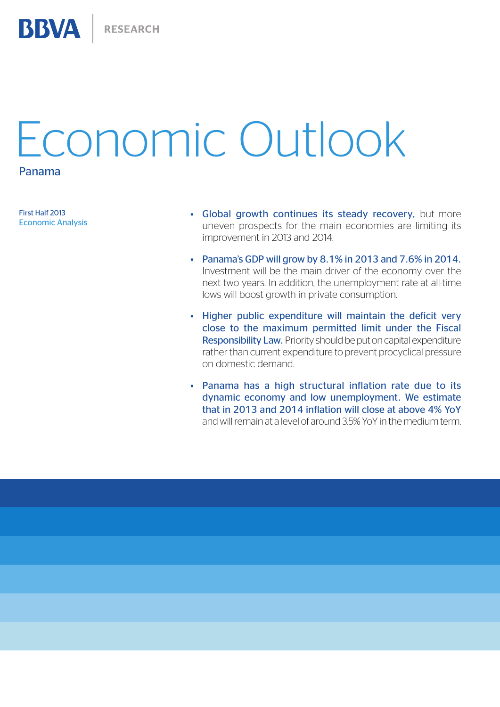# Economic Outlook

Panama

**BBVA** 

First Half 2013 Economic Analysis

- Global growth continues its steady recovery, but more uneven prospects for the main economies are limiting its improvement in 2013 and 2014.
- Panama's GDP will grow by  $8.1\%$  in 2013 and 7.6% in 2014. Investment will be the main driver of the economy over the next two years. In addition, the unemployment rate at all-time lows will boost growth in private consumption.
- Higher public expenditure will maintain the deficit very close to the maximum permitted limit under the Fiscal Responsibility Law. Priority should be put on capital expenditure rather than current expenditure to prevent procyclical pressure on domestic demand.
- Panama has a high structural inflation rate due to its dynamic economy and low unemployment. We estimate that in 2013 and 2014 inflation will close at above 4% YoY and will remain at a level of around 3.5% YoY in the medium term.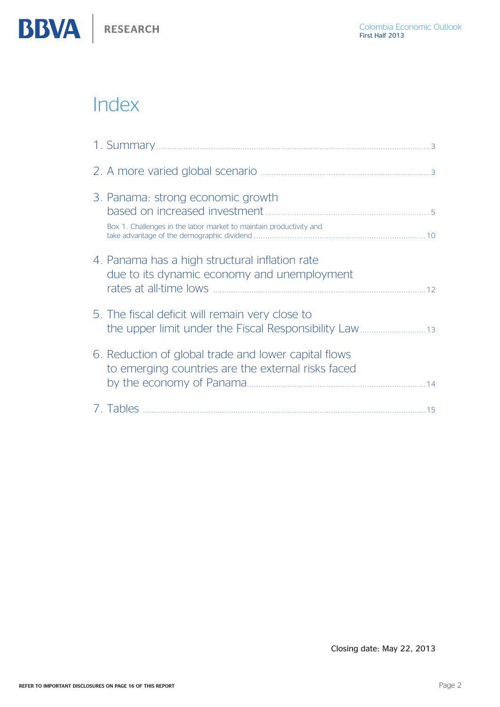

| 3. Panama: strong economic growth<br>Box 1. Challenges in the labor market to maintain productivity and    |  |
|------------------------------------------------------------------------------------------------------------|--|
| 4. Panama has a high structural inflation rate<br>due to its dynamic economy and unemployment              |  |
| 5. The fiscal deficit will remain very close to                                                            |  |
| 6. Reduction of global trade and lower capital flows<br>to emerging countries are the external risks faced |  |
|                                                                                                            |  |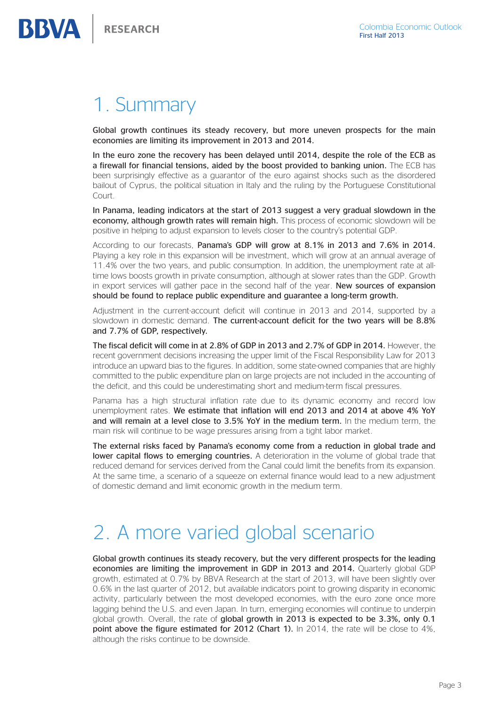## <span id="page-2-0"></span>1. Summary

Global growth continues its steady recovery, but more uneven prospects for the main economies are limiting its improvement in 2013 and 2014.

In the euro zone the recovery has been delayed until 2014, despite the role of the ECB as a firewall for financial tensions, aided by the boost provided to banking union. The ECB has been surprisingly effective as a guarantor of the euro against shocks such as the disordered bailout of Cyprus, the political situation in Italy and the ruling by the Portuguese Constitutional Court.

In Panama, leading indicators at the start of 2013 suggest a very gradual slowdown in the economy, although growth rates will remain high. This process of economic slowdown will be positive in helping to adjust expansion to levels closer to the country's potential GDP.

According to our forecasts, Panama's GDP will grow at 8.1% in 2013 and 7.6% in 2014. Playing a key role in this expansion will be investment, which will grow at an annual average of 11.4% over the two years, and public consumption. In addition, the unemployment rate at alltime lows boosts growth in private consumption, although at slower rates than the GDP. Growth in export services will gather pace in the second half of the year. New sources of expansion should be found to replace public expenditure and guarantee a long-term growth.

Adjustment in the current-account deficit will continue in 2013 and 2014, supported by a slowdown in domestic demand. The current-account deficit for the two years will be 8.8% and 7.7% of GDP, respectively.

The fiscal deficit will come in at 2.8% of GDP in 2013 and 2.7% of GDP in 2014. However, the recent government decisions increasing the upper limit of the Fiscal Responsibility Law for 2013 introduce an upward bias to the figures. In addition, some state-owned companies that are highly committed to the public expenditure plan on large projects are not included in the accounting of the deficit, and this could be underestimating short and medium-term fiscal pressures.

Panama has a high structural inflation rate due to its dynamic economy and record low unemployment rates. We estimate that inflation will end 2013 and 2014 at above 4% YoY and will remain at a level close to 3.5% YoY in the medium term. In the medium term, the main risk will continue to be wage pressures arising from a tight labor market.

The external risks faced by Panama's economy come from a reduction in global trade and lower capital flows to emerging countries. A deterioration in the volume of global trade that reduced demand for services derived from the Canal could limit the benefits from its expansion. At the same time, a scenario of a squeeze on external finance would lead to a new adjustment of domestic demand and limit economic growth in the medium term.

# 2. A more varied global scenario

Global growth continues its steady recovery, but the very different prospects for the leading economies are limiting the improvement in GDP in 2013 and 2014. Quarterly global GDP growth, estimated at 0.7% by BBVA Research at the start of 2013, will have been slightly over 0.6% in the last quarter of 2012, but available indicators point to growing disparity in economic activity, particularly between the most developed economies, with the euro zone once more lagging behind the U.S. and even Japan. In turn, emerging economies will continue to underpin global growth. Overall, the rate of global growth in 2013 is expected to be 3.3%, only 0.1 point above the figure estimated for 2012 (Chart 1). In 2014, the rate will be close to 4%, although the risks continue to be downside.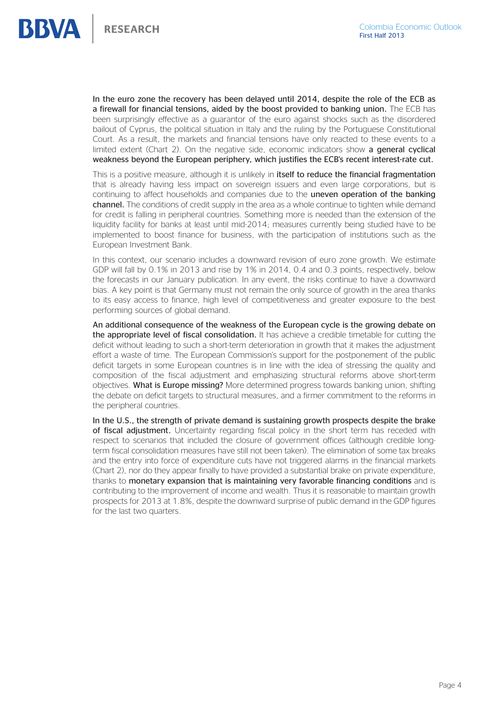In the euro zone the recovery has been delayed until 2014, despite the role of the ECB as a firewall for financial tensions, aided by the boost provided to banking union. The ECB has been surprisingly effective as a guarantor of the euro against shocks such as the disordered bailout of Cyprus, the political situation in Italy and the ruling by the Portuguese Constitutional Court. As a result, the markets and financial tensions have only reacted to these events to a limited extent (Chart 2). On the negative side, economic indicators show a general cyclical weakness beyond the European periphery, which justifies the ECB's recent interest-rate cut.

This is a positive measure, although it is unlikely in **itself to reduce the financial fragmentation** that is already having less impact on sovereign issuers and even large corporations, but is continuing to affect households and companies due to the **uneven operation of the banking** channel. The conditions of credit supply in the area as a whole continue to tighten while demand for credit is falling in peripheral countries. Something more is needed than the extension of the liquidity facility for banks at least until mid-2014; measures currently being studied have to be implemented to boost finance for business, with the participation of institutions such as the European Investment Bank.

In this context, our scenario includes a downward revision of euro zone growth. We estimate GDP will fall by 0.1% in 2013 and rise by 1% in 2014, 0.4 and 0.3 points, respectively, below the forecasts in our January publication. In any event, the risks continue to have a downward bias. A key point is that Germany must not remain the only source of growth in the area thanks to its easy access to finance, high level of competitiveness and greater exposure to the best performing sources of global demand.

An additional consequence of the weakness of the European cycle is the growing debate on the appropriate level of fiscal consolidation. It has achieve a credible timetable for cutting the deficit without leading to such a short-term deterioration in growth that it makes the adjustment effort a waste of time. The European Commission's support for the postponement of the public deficit targets in some European countries is in line with the idea of stressing the quality and composition of the fiscal adjustment and emphasizing structural reforms above short-term objectives. What is Europe missing? More determined progress towards banking union, shifting the debate on deficit targets to structural measures, and a firmer commitment to the reforms in the peripheral countries.

In the U.S., the strength of private demand is sustaining growth prospects despite the brake of fiscal adjustment. Uncertainty regarding fiscal policy in the short term has receded with respect to scenarios that included the closure of government offices (although credible longterm fiscal consolidation measures have still not been taken). The elimination of some tax breaks and the entry into force of expenditure cuts have not triggered alarms in the financial markets (Chart 2), nor do they appear finally to have provided a substantial brake on private expenditure, thanks to monetary expansion that is maintaining very favorable financing conditions and is contributing to the improvement of income and wealth. Thus it is reasonable to maintain growth prospects for 2013 at 1.8%, despite the downward surprise of public demand in the GDP figures for the last two quarters.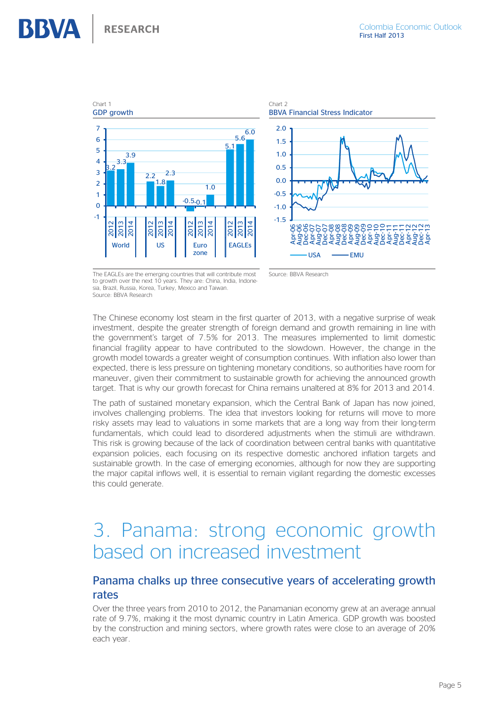<span id="page-4-0"></span>

The EAGLEs are the emerging countries that will contribute most to growth over the next 10 years. They are: China, India, Indonesia, Brazil, Russia, Korea, Turkey, Mexico and Taiwan. Source: BBVA Research

The Chinese economy lost steam in the first quarter of 2013, with a negative surprise of weak investment, despite the greater strength of foreign demand and growth remaining in line with the government's target of 7.5% for 2013. The measures implemented to limit domestic financial fragility appear to have contributed to the slowdown. However, the change in the growth model towards a greater weight of consumption continues. With inflation also lower than expected, there is less pressure on tightening monetary conditions, so authorities have room for maneuver, given their commitment to sustainable growth for achieving the announced growth target. That is why our growth forecast for China remains unaltered at 8% for 2013 and 2014.

The path of sustained monetary expansion, which the Central Bank of Japan has now joined, involves challenging problems. The idea that investors looking for returns will move to more risky assets may lead to valuations in some markets that are a long way from their long-term fundamentals, which could lead to disordered adjustments when the stimuli are withdrawn. This risk is growing because of the lack of coordination between central banks with quantitative expansion policies, each focusing on its respective domestic anchored inflation targets and sustainable growth. In the case of emerging economies, although for now they are supporting the major capital inflows well, it is essential to remain vigilant regarding the domestic excesses this could generate.

# 3. Panama: strong economic growth based on increased investment

### Panama chalks up three consecutive years of accelerating growth rates

Over the three years from 2010 to 2012, the Panamanian economy grew at an average annual rate of 9.7%, making it the most dynamic country in Latin America. GDP growth was boosted by the construction and mining sectors, where growth rates were close to an average of 20% each year.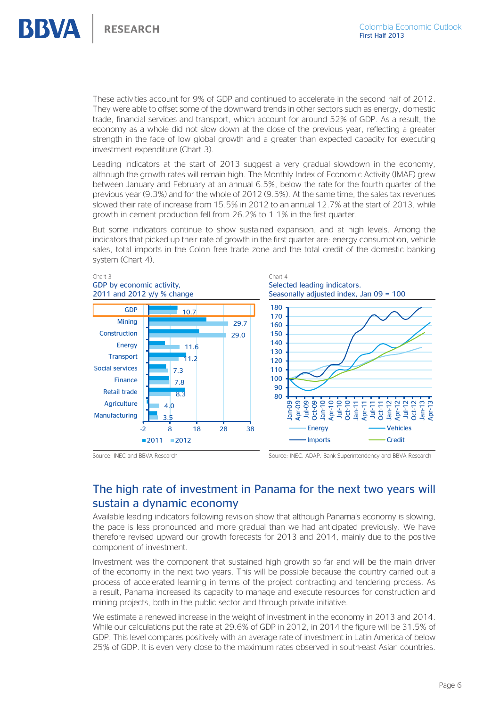**RESEARCH** 

These activities account for 9% of GDP and continued to accelerate in the second half of 2012. They were able to offset some of the downward trends in other sectors such as energy, domestic trade, financial services and transport, which account for around 52% of GDP. As a result, the economy as a whole did not slow down at the close of the previous year, reflecting a greater strength in the face of low global growth and a greater than expected capacity for executing investment expenditure (Chart 3).

Leading indicators at the start of 2013 suggest a very gradual slowdown in the economy, although the growth rates will remain high. The Monthly Index of Economic Activity (IMAE) grew between January and February at an annual 6.5%, below the rate for the fourth quarter of the previous year (9.3%) and for the whole of 2012 (9.5%). At the same time, the sales tax revenues slowed their rate of increase from 15.5% in 2012 to an annual 12.7% at the start of 2013, while growth in cement production fell from 26.2% to 1.1% in the first quarter.

But some indicators continue to show sustained expansion, and at high levels. Among the indicators that picked up their rate of growth in the first quarter are: energy consumption, vehicle sales, total imports in the Colon free trade zone and the total credit of the domestic banking system (Chart 4).



Source: INEC and BBVA Research Source: INEC, ADAP, Bank Superintendency and BBVA Research

### The high rate of investment in Panama for the next two years will sustain a dynamic economy

Available leading indicators following revision show that although Panama's economy is slowing, the pace is less pronounced and more gradual than we had anticipated previously. We have therefore revised upward our growth forecasts for 2013 and 2014, mainly due to the positive component of investment.

Investment was the component that sustained high growth so far and will be the main driver of the economy in the next two years. This will be possible because the country carried out a process of accelerated learning in terms of the project contracting and tendering process. As a result, Panama increased its capacity to manage and execute resources for construction and mining projects, both in the public sector and through private initiative.

We estimate a renewed increase in the weight of investment in the economy in 2013 and 2014. While our calculations put the rate at 29.6% of GDP in 2012, in 2014 the figure will be 31.5% of GDP. This level compares positively with an average rate of investment in Latin America of below 25% of GDP. It is even very close to the maximum rates observed in south-east Asian countries.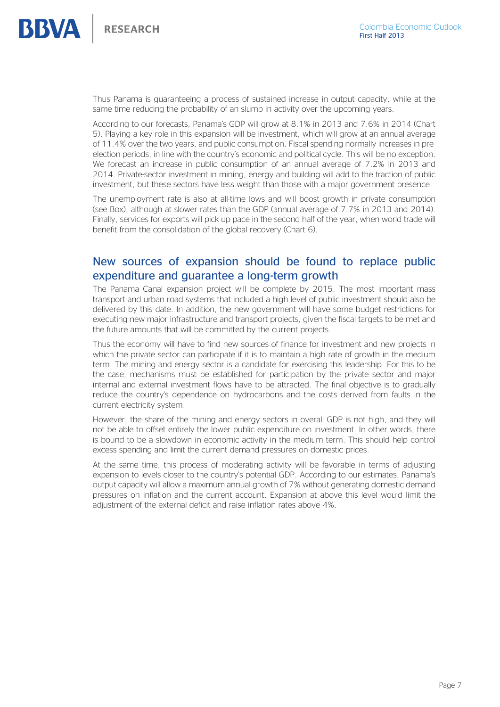

Thus Panama is guaranteeing a process of sustained increase in output capacity, while at the same time reducing the probability of an slump in activity over the upcoming years.

According to our forecasts, Panama's GDP will grow at 8.1% in 2013 and 7.6% in 2014 (Chart 5). Playing a key role in this expansion will be investment, which will grow at an annual average of 11.4% over the two years, and public consumption. Fiscal spending normally increases in preelection periods, in line with the country's economic and political cycle. This will be no exception. We forecast an increase in public consumption of an annual average of 7.2% in 2013 and 2014. Private-sector investment in mining, energy and building will add to the traction of public investment, but these sectors have less weight than those with a major government presence.

The unemployment rate is also at all-time lows and will boost growth in private consumption (see Box), although at slower rates than the GDP (annual average of 7.7% in 2013 and 2014). Finally, services for exports will pick up pace in the second half of the year, when world trade will benefit from the consolidation of the global recovery (Chart 6).

### New sources of expansion should be found to replace public expenditure and guarantee a long-term growth

The Panama Canal expansion project will be complete by 2015. The most important mass transport and urban road systems that included a high level of public investment should also be delivered by this date. In addition, the new government will have some budget restrictions for executing new major infrastructure and transport projects, given the fiscal targets to be met and the future amounts that will be committed by the current projects.

Thus the economy will have to find new sources of finance for investment and new projects in which the private sector can participate if it is to maintain a high rate of growth in the medium term. The mining and energy sector is a candidate for exercising this leadership. For this to be the case, mechanisms must be established for participation by the private sector and major internal and external investment flows have to be attracted. The final objective is to gradually reduce the country's dependence on hydrocarbons and the costs derived from faults in the current electricity system.

However, the share of the mining and energy sectors in overall GDP is not high, and they will not be able to offset entirely the lower public expenditure on investment. In other words, there is bound to be a slowdown in economic activity in the medium term. This should help control excess spending and limit the current demand pressures on domestic prices.

At the same time, this process of moderating activity will be favorable in terms of adjusting expansion to levels closer to the country's potential GDP. According to our estimates, Panama's output capacity will allow a maximum annual growth of 7% without generating domestic demand pressures on inflation and the current account. Expansion at above this level would limit the adjustment of the external deficit and raise inflation rates above 4%.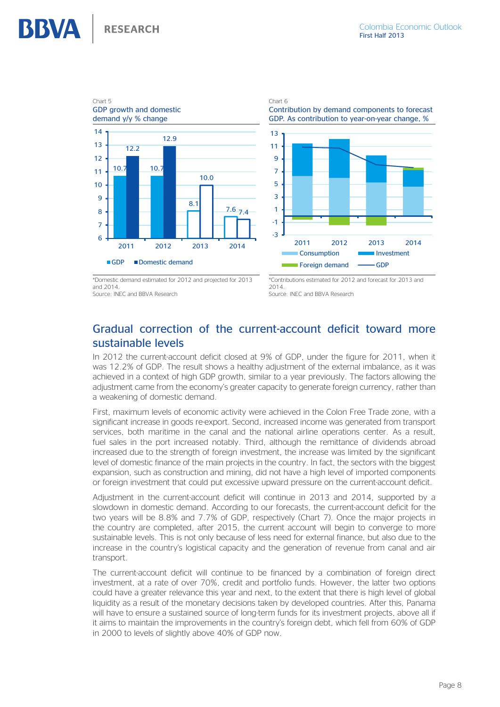



\*Domestic demand estimated for 2012 and projected for 2013 and 2014.

Source: INEC and BBVA Research

\*Contributions estimated for 2012 and forecast for 2013 and 2014.

Source: INEC and BBVA Research

### Gradual correction of the current-account deficit toward more sustainable levels

In 2012 the current-account deficit closed at 9% of GDP, under the figure for 2011, when it was 12.2% of GDP. The result shows a healthy adjustment of the external imbalance, as it was achieved in a context of high GDP growth, similar to a year previously. The factors allowing the adjustment came from the economy's greater capacity to generate foreign currency, rather than a weakening of domestic demand.

First, maximum levels of economic activity were achieved in the Colon Free Trade zone, with a significant increase in goods re-export. Second, increased income was generated from transport services, both maritime in the canal and the national airline operations center. As a result, fuel sales in the port increased notably. Third, although the remittance of dividends abroad increased due to the strength of foreign investment, the increase was limited by the significant level of domestic finance of the main projects in the country. In fact, the sectors with the biggest expansion, such as construction and mining, did not have a high level of imported components or foreign investment that could put excessive upward pressure on the current-account deficit.

Adjustment in the current-account deficit will continue in 2013 and 2014, supported by a slowdown in domestic demand. According to our forecasts, the current-account deficit for the two years will be 8.8% and 7.7% of GDP, respectively (Chart 7). Once the major projects in the country are completed, after 2015, the current account will begin to converge to more sustainable levels. This is not only because of less need for external finance, but also due to the increase in the country's logistical capacity and the generation of revenue from canal and air transport.

The current-account deficit will continue to be financed by a combination of foreign direct investment, at a rate of over 70%, credit and portfolio funds. However, the latter two options could have a greater relevance this year and next, to the extent that there is high level of global liquidity as a result of the monetary decisions taken by developed countries. After this, Panama will have to ensure a sustained source of long-term funds for its investment projects, above all if it aims to maintain the improvements in the country's foreign debt, which fell from 60% of GDP in 2000 to levels of slightly above 40% of GDP now.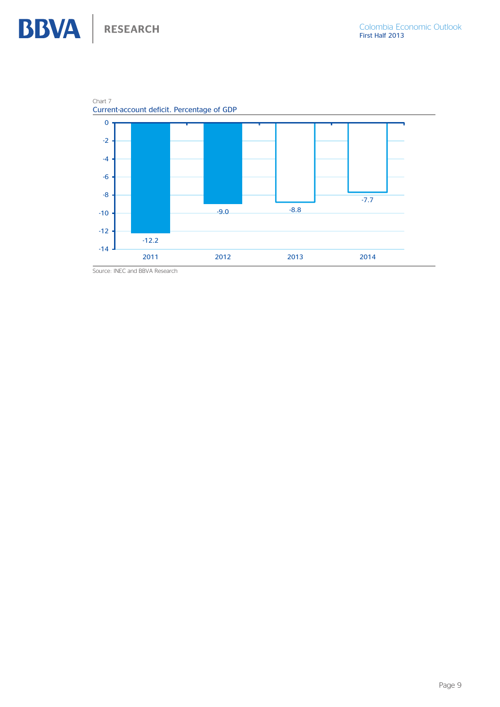**BBVA** RESEARCH





Source: INEC and BBVA Research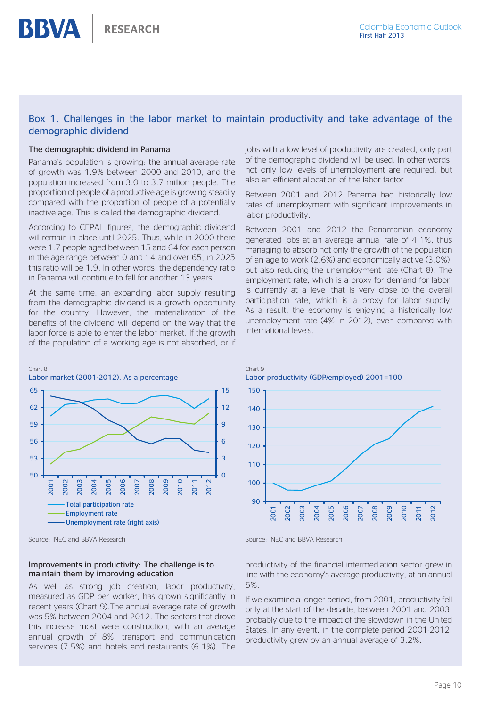### Box 1. Challenges in the labor market to maintain productivity and take advantage of the demographic dividend

#### The demographic dividend in Panama

<span id="page-9-0"></span>**BBVA** 

Panama's population is growing: the annual average rate of growth was 1.9% between 2000 and 2010, and the population increased from 3.0 to 3.7 million people. The proportion of people of a productive age is growing steadily compared with the proportion of people of a potentially inactive age. This is called the demographic dividend.

According to CEPAL figures, the demographic dividend will remain in place until 2025. Thus, while in 2000 there were 1.7 people aged between 15 and 64 for each person in the age range between 0 and 14 and over 65, in 2025 this ratio will be 1.9. In other words, the dependency ratio in Panama will continue to fall for another 13 years.

At the same time, an expanding labor supply resulting from the demographic dividend is a growth opportunity for the country. However, the materialization of the benefits of the dividend will depend on the way that the labor force is able to enter the labor market. If the growth of the population of a working age is not absorbed, or if



Source: INEC and BBVA Research

#### Improvements in productivity: The challenge is to maintain them by improving education

As well as strong job creation, labor productivity, measured as GDP per worker, has grown significantly in recent years (Chart 9).The annual average rate of growth was 5% between 2004 and 2012. The sectors that drove this increase most were construction, with an average annual growth of 8%, transport and communication services (7.5%) and hotels and restaurants (6.1%). The

jobs with a low level of productivity are created, only part of the demographic dividend will be used. In other words, not only low levels of unemployment are required, but also an efficient allocation of the labor factor.

Between 2001 and 2012 Panama had historically low rates of unemployment with significant improvements in labor productivity.

Between 2001 and 2012 the Panamanian economy generated jobs at an average annual rate of 4.1%, thus managing to absorb not only the growth of the population of an age to work (2.6%) and economically active (3.0%), but also reducing the unemployment rate (Chart 8). The employment rate, which is a proxy for demand for labor, is currently at a level that is very close to the overall participation rate, which is a proxy for labor supply. As a result, the economy is enjoying a historically low unemployment rate (4% in 2012), even compared with international levels.



Source: INEC and BBVA Research

productivity of the financial intermediation sector grew in line with the economy's average productivity, at an annual 5%.

If we examine a longer period, from 2001, productivity fell only at the start of the decade, between 2001 and 2003, probably due to the impact of the slowdown in the United States. In any event, in the complete period 2001-2012, productivity grew by an annual average of 3.2%.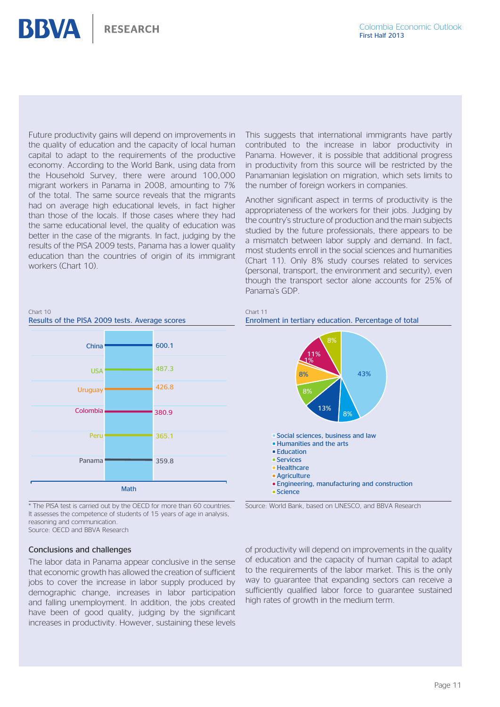Future productivity gains will depend on improvements in the quality of education and the capacity of local human capital to adapt to the requirements of the productive economy. According to the World Bank, using data from the Household Survey, there were around 100,000 migrant workers in Panama in 2008, amounting to 7% of the total. The same source reveals that the migrants had on average high educational levels, in fact higher than those of the locals. If those cases where they had the same educational level, the quality of education was better in the case of the migrants. In fact, judging by the results of the PISA 2009 tests, Panama has a lower quality education than the countries of origin of its immigrant workers (Chart 10).

This suggests that international immigrants have partly contributed to the increase in labor productivity in Panama. However, it is possible that additional progress in productivity from this source will be restricted by the Panamanian legislation on migration, which sets limits to the number of foreign workers in companies.

Another significant aspect in terms of productivity is the appropriateness of the workers for their jobs. Judging by the country's structure of production and the main subjects studied by the future professionals, there appears to be a mismatch between labor supply and demand. In fact, most students enroll in the social sciences and humanities (Chart 11). Only 8% study courses related to services (personal, transport, the environment and security), even though the transport sector alone accounts for 25% of Panama's GDP.



\* The PISA test is carried out by the OECD for more than 60 countries. It assesses the competence of students of 15 years of age in analysis, reasoning and communication. Source: OFCD and BBVA Research

#### Conclusions and challenges

Chart 10

**BBVA** 

The labor data in Panama appear conclusive in the sense that economic growth has allowed the creation of sufficient jobs to cover the increase in labor supply produced by demographic change, increases in labor participation and falling unemployment. In addition, the jobs created have been of good quality, judging by the significant increases in productivity. However, sustaining these levels

#### Chart 11 Enrolment in tertiary education. Percentage of total



Source: World Bank, based on UNESCO, and BBVA Research

of productivity will depend on improvements in the quality of education and the capacity of human capital to adapt to the requirements of the labor market. This is the only way to guarantee that expanding sectors can receive a sufficiently qualified labor force to guarantee sustained high rates of growth in the medium term.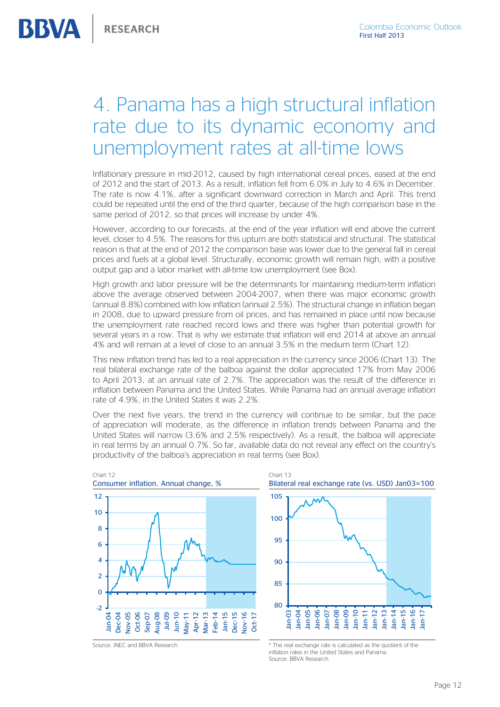# <span id="page-11-0"></span>4. Panama has a high structural inflation rate due to its dynamic economy and unemployment rates at all-time lows

Inflationary pressure in mid-2012, caused by high international cereal prices, eased at the end of 2012 and the start of 2013. As a result, inflation fell from 6.0% in July to 4.6% in December. The rate is now 4.1%, after a significant downward correction in March and April. This trend could be repeated until the end of the third quarter, because of the high comparison base in the same period of 2012, so that prices will increase by under 4%.

However, according to our forecasts, at the end of the year inflation will end above the current level, closer to 4.5%. The reasons for this upturn are both statistical and structural. The statistical reason is that at the end of 2012 the comparison base was lower due to the general fall in cereal prices and fuels at a global level. Structurally, economic growth will remain high, with a positive output gap and a labor market with all-time low unemployment (see Box).

High growth and labor pressure will be the determinants for maintaining medium-term inflation above the average observed between 2004-2007, when there was major economic growth (annual 8.8%) combined with low inflation (annual 2.5%). The structural change in inflation began in 2008, due to upward pressure from oil prices, and has remained in place until now because the unemployment rate reached record lows and there was higher than potential growth for several years in a row. That is why we estimate that inflation will end 2014 at above an annual 4% and will remain at a level of close to an annual 3.5% in the medium term (Chart 12).

This new inflation trend has led to a real appreciation in the currency since 2006 (Chart 13). The real bilateral exchange rate of the balboa against the dollar appreciated 17% from May 2006 to April 2013, at an annual rate of 2.7%. The appreciation was the result of the difference in inflation between Panama and the United States. While Panama had an annual average inflation rate of 4.9%, in the United States it was 2.2%.

Over the next five years, the trend in the currency will continue to be similar, but the pace of appreciation will moderate, as the difference in inflation trends between Panama and the United States will narrow (3.6% and 2.5% respectively). As a result, the balboa will appreciate in real terms by an annual 0.7%. So far, available data do not reveal any effect on the country's productivity of the balboa's appreciation in real terms (see Box).

80

Jan-03 Jan-04 Jan-05 Jan-06 Jan-07 Jan-08



Chart 13 Bilateral real exchange rate (vs. USD) Jan03=100 85  $90$ 95 100 105

Source: INEC and BBVA Research  $*$  The real exchange rate is calculated as the quotient of the inflation rates in the United States and Panama. Source: BBVA Research

Jan-09 Jan-10 Jan-11 Jan-12

Jan-13 Jan-14 Jan-15 Jan-16 Jan-17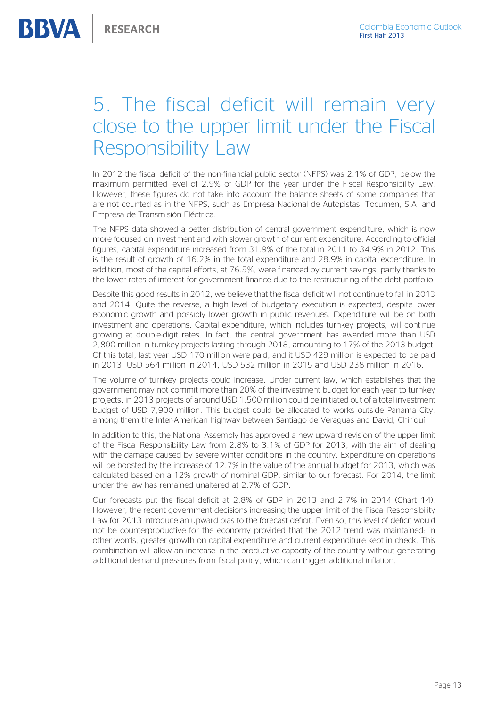# <span id="page-12-0"></span>5. The fiscal deficit will remain very close to the upper limit under the Fiscal Responsibility Law

In 2012 the fiscal deficit of the non-financial public sector (NFPS) was 2.1% of GDP, below the maximum permitted level of 2.9% of GDP for the year under the Fiscal Responsibility Law. However, these figures do not take into account the balance sheets of some companies that are not counted as in the NFPS, such as Empresa Nacional de Autopistas, Tocumen, S.A. and Empresa de Transmisión Eléctrica.

The NFPS data showed a better distribution of central government expenditure, which is now more focused on investment and with slower growth of current expenditure. According to official figures, capital expenditure increased from 31.9% of the total in 2011 to 34.9% in 2012. This is the result of growth of 16.2% in the total expenditure and 28.9% in capital expenditure. In addition, most of the capital efforts, at 76.5%, were financed by current savings, partly thanks to the lower rates of interest for government finance due to the restructuring of the debt portfolio.

Despite this good results in 2012, we believe that the fiscal deficit will not continue to fall in 2013 and 2014. Quite the reverse, a high level of budgetary execution is expected, despite lower economic growth and possibly lower growth in public revenues. Expenditure will be on both investment and operations. Capital expenditure, which includes turnkey projects, will continue growing at double-digit rates. In fact, the central government has awarded more than USD 2,800 million in turnkey projects lasting through 2018, amounting to 17% of the 2013 budget. Of this total, last year USD 170 million were paid, and it USD 429 million is expected to be paid in 2013, USD 564 million in 2014, USD 532 million in 2015 and USD 238 million in 2016.

The volume of turnkey projects could increase. Under current law, which establishes that the government may not commit more than 20% of the investment budget for each year to turnkey projects, in 2013 projects of around USD 1,500 million could be initiated out of a total investment budget of USD 7,900 million. This budget could be allocated to works outside Panama City, among them the Inter-American highway between Santiago de Veraguas and David, Chiriquí.

In addition to this, the National Assembly has approved a new upward revision of the upper limit of the Fiscal Responsibility Law from 2.8% to 3.1% of GDP for 2013, with the aim of dealing with the damage caused by severe winter conditions in the country. Expenditure on operations will be boosted by the increase of 12.7% in the value of the annual budget for 2013, which was calculated based on a 12% growth of nominal GDP, similar to our forecast. For 2014, the limit under the law has remained unaltered at 2.7% of GDP.

Our forecasts put the fiscal deficit at 2.8% of GDP in 2013 and 2.7% in 2014 (Chart 14). However, the recent government decisions increasing the upper limit of the Fiscal Responsibility Law for 2013 introduce an upward bias to the forecast deficit. Even so, this level of deficit would not be counterproductive for the economy provided that the 2012 trend was maintained: in other words, greater growth on capital expenditure and current expenditure kept in check. This combination will allow an increase in the productive capacity of the country without generating additional demand pressures from fiscal policy, which can trigger additional inflation.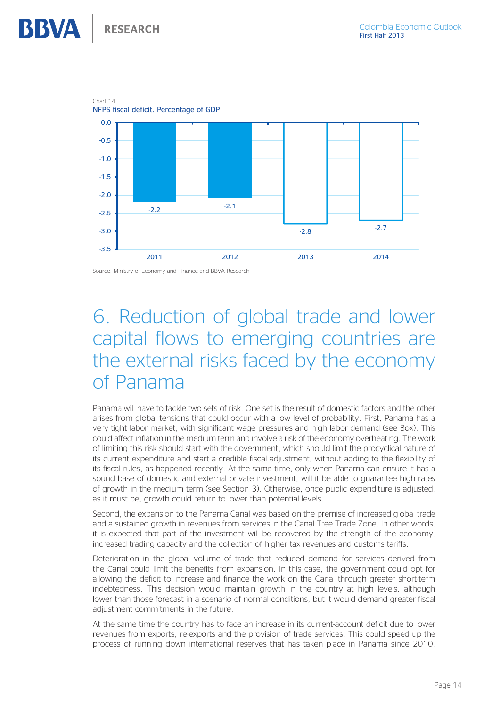Chart 14

<span id="page-13-0"></span>**BBVA** 



Source: Ministry of Economy and Finance and BBVA Research

# 6. Reduction of global trade and lower capital flows to emerging countries are the external risks faced by the economy of Panama

Panama will have to tackle two sets of risk. One set is the result of domestic factors and the other arises from global tensions that could occur with a low level of probability. First, Panama has a very tight labor market, with significant wage pressures and high labor demand (see Box). This could affect inflation in the medium term and involve a risk of the economy overheating. The work of limiting this risk should start with the government, which should limit the procyclical nature of its current expenditure and start a credible fiscal adjustment, without adding to the flexibility of its fiscal rules, as happened recently. At the same time, only when Panama can ensure it has a sound base of domestic and external private investment, will it be able to guarantee high rates of growth in the medium term (see Section 3). Otherwise, once public expenditure is adjusted, as it must be, growth could return to lower than potential levels.

Second, the expansion to the Panama Canal was based on the premise of increased global trade and a sustained growth in revenues from services in the Canal Tree Trade Zone. In other words, it is expected that part of the investment will be recovered by the strength of the economy, increased trading capacity and the collection of higher tax revenues and customs tariffs.

Deterioration in the global volume of trade that reduced demand for services derived from the Canal could limit the benefits from expansion. In this case, the government could opt for allowing the deficit to increase and finance the work on the Canal through greater short-term indebtedness. This decision would maintain growth in the country at high levels, although lower than those forecast in a scenario of normal conditions, but it would demand greater fiscal adjustment commitments in the future.

At the same time the country has to face an increase in its current-account deficit due to lower revenues from exports, re-exports and the provision of trade services. This could speed up the process of running down international reserves that has taken place in Panama since 2010,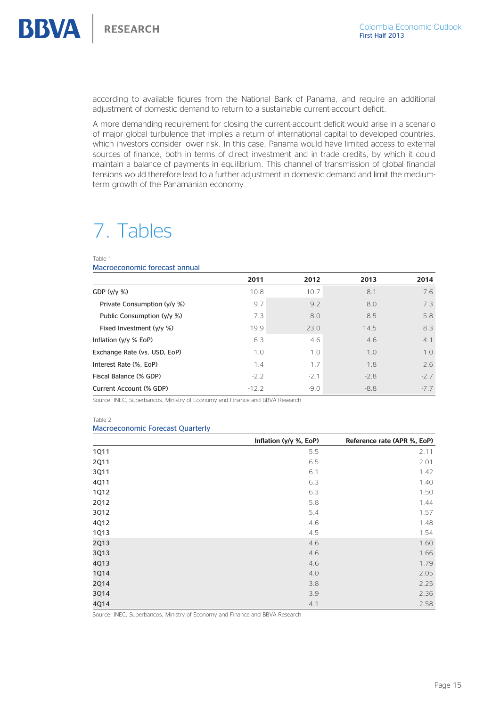<span id="page-14-0"></span>

according to available figures from the National Bank of Panama, and require an additional adjustment of domestic demand to return to a sustainable current-account deficit.

A more demanding requirement for closing the current-account deficit would arise in a scenario of major global turbulence that implies a return of international capital to developed countries, which investors consider lower risk. In this case, Panama would have limited access to external sources of finance, both in terms of direct investment and in trade credits, by which it could maintain a balance of payments in equilibrium. This channel of transmission of global financial tensions would therefore lead to a further adjustment in domestic demand and limit the mediumterm growth of the Panamanian economy.

# 7. Tables

Table 1

Macroeconomic forecast annual

|                              | 2011    | 2012   | 2013   | 2014   |
|------------------------------|---------|--------|--------|--------|
| GDP $(y/y \%)$               | 10.8    | 10.7   | 8.1    | 7.6    |
| Private Consumption (y/y %)  | 9.7     | 9.2    | 8.0    | 7.3    |
| Public Consumption (y/y %)   | 7.3     | 8.0    | 8.5    | 5.8    |
| Fixed Investment (y/y %)     | 19.9    | 23.0   | 14.5   | 8.3    |
| Inflation $(y/y \% EoP)$     | 6.3     | 4.6    | 4.6    | 4.1    |
| Exchange Rate (vs. USD, EoP) | 1.0     | 1.0    | 1.0    | 1.0    |
| Interest Rate (%, EoP)       | 1.4     | 1.7    | 1.8    | 2.6    |
| Fiscal Balance (% GDP)       | $-2.2$  | $-2.1$ | $-2.8$ | $-2.7$ |
| Current Account (% GDP)      | $-12.2$ | $-9.0$ | $-8.8$ | $-7.7$ |

Source: INEC, Superbancos, Ministry of Economy and Finance and BBVA Research

Table 2

#### Macroeconomic Forecast Quarterly

|             | Inflation (y/y %, EoP) | Reference rate (APR %, EoP) |
|-------------|------------------------|-----------------------------|
| <b>1Q11</b> | 5.5                    | 2.11                        |
| 2Q11        | 6.5                    | 2.01                        |
| 3Q11        | 6.1                    | 1.42                        |
| 4Q11        | 6.3                    | 1.40                        |
| <b>1Q12</b> | 6.3                    | 1.50                        |
| <b>2Q12</b> | 5.8                    | 1.44                        |
| 3Q12        | 5.4                    | 1.57                        |
| 4Q12        | 4.6                    | 1.48                        |
| <b>1Q13</b> | 4.5                    | 1.54                        |
| 2Q13        | 4.6                    | 1.60                        |
| 3Q13        | 4.6                    | 1.66                        |
| 4Q13        | 4.6                    | 1.79                        |
| <b>1Q14</b> | 4.0                    | 2.05                        |
| 2Q14        | 3.8                    | 2.25                        |
| 3Q14        | 3.9                    | 2.36                        |
| 4Q14        | 4.1                    | 2.58                        |

Source: INEC, Superbancos, Ministry of Economy and Finance and BBVA Research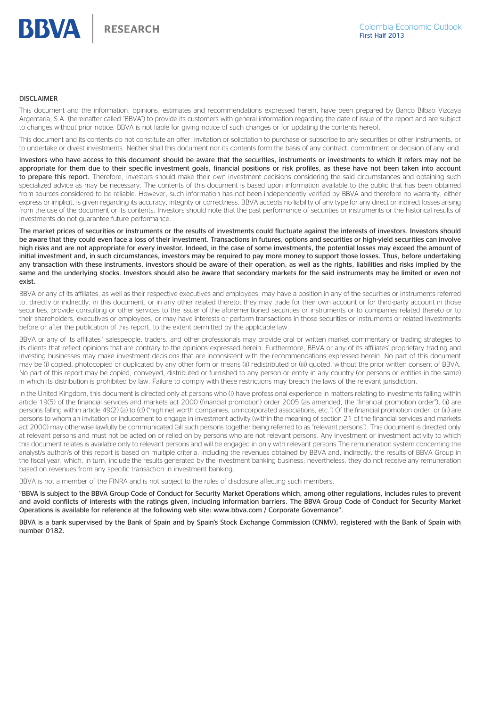#### DISCLAIMER

This document and the information, opinions, estimates and recommendations expressed herein, have been prepared by Banco Bilbao Vizcaya Argentaria, S.A. (hereinafter called "BBVA") to provide its customers with general information regarding the date of issue of the report and are subject to changes without prior notice. BBVA is not liable for giving notice of such changes or for updating the contents hereof.

This document and its contents do not constitute an offer, invitation or solicitation to purchase or subscribe to any securities or other instruments, or to undertake or divest investments. Neither shall this document nor its contents form the basis of any contract, commitment or decision of any kind.

Investors who have access to this document should be aware that the securities, instruments or investments to which it refers may not be appropriate for them due to their specific investment goals, financial positions or risk profiles, as these have not been taken into account to prepare this report. Therefore, investors should make their own investment decisions considering the said circumstances and obtaining such specialized advice as may be necessary. The contents of this document is based upon information available to the public that has been obtained from sources considered to be reliable. However, such information has not been independently verified by BBVA and therefore no warranty, either express or implicit, is given regarding its accuracy, integrity or correctness. BBVA accepts no liability of any type for any direct or indirect losses arising from the use of the document or its contents. Investors should note that the past performance of securities or instruments or the historical results of investments do not guarantee future performance.

The market prices of securities or instruments or the results of investments could fluctuate against the interests of investors. Investors should be aware that they could even face a loss of their investment. Transactions in futures, options and securities or high-yield securities can involve high risks and are not appropriate for every investor. Indeed, in the case of some investments, the potential losses may exceed the amount of initial investment and, in such circumstances, investors may be required to pay more money to support those losses. Thus, before undertaking any transaction with these instruments, investors should be aware of their operation, as well as the rights, liabilities and risks implied by the same and the underlying stocks. Investors should also be aware that secondary markets for the said instruments may be limited or even not exist.

BBVA or any of its affiliates, as well as their respective executives and employees, may have a position in any of the securities or instruments referred to, directly or indirectly, in this document, or in any other related thereto; they may trade for their own account or for third-party account in those securities, provide consulting or other services to the issuer of the aforementioned securities or instruments or to companies related thereto or to their shareholders, executives or employees, or may have interests or perform transactions in those securities or instruments or related investments before or after the publication of this report, to the extent permitted by the applicable law.

BBVA or any of its affiliates´ salespeople, traders, and other professionals may provide oral or written market commentary or trading strategies to its clients that reflect opinions that are contrary to the opinions expressed herein. Furthermore, BBVA or any of its affiliates' proprietary trading and investing businesses may make investment decisions that are inconsistent with the recommendations expressed herein. No part of this document may be (i) copied, photocopied or duplicated by any other form or means (ii) redistributed or (iii) quoted, without the prior written consent of BBVA. No part of this report may be copied, conveyed, distributed or furnished to any person or entity in any country (or persons or entities in the same) in which its distribution is prohibited by law. Failure to comply with these restrictions may breach the laws of the relevant jurisdiction.

In the United Kingdom, this document is directed only at persons who (i) have professional experience in matters relating to investments falling within article 19(5) of the financial services and markets act 2000 (financial promotion) order 2005 (as amended, the "financial promotion order"), (ii) are persons falling within article 49(2) (a) to (d) ("high net worth companies, unincorporated associations, etc.") Of the financial promotion order, or (iii) are persons to whom an invitation or inducement to engage in investment activity (within the meaning of section 21 of the financial services and markets act 2000) may otherwise lawfully be communicated (all such persons together being referred to as "relevant persons"). This document is directed only at relevant persons and must not be acted on or relied on by persons who are not relevant persons. Any investment or investment activity to which this document relates is available only to relevant persons and will be engaged in only with relevant persons.The remuneration system concerning the analyst/s author/s of this report is based on multiple criteria, including the revenues obtained by BBVA and, indirectly, the results of BBVA Group in the fiscal year, which, in turn, include the results generated by the investment banking business; nevertheless, they do not receive any remuneration based on revenues from any specific transaction in investment banking.

BBVA is not a member of the FINRA and is not subject to the rules of disclosure affecting such members.

"BBVA is subject to the BBVA Group Code of Conduct for Security Market Operations which, among other regulations, includes rules to prevent and avoid conflicts of interests with the ratings given, including information barriers. The BBVA Group Code of Conduct for Security Market Operations is available for reference at the following web site: www.bbva.com / Corporate Governance".

BBVA is a bank supervised by the Bank of Spain and by Spain's Stock Exchange Commission (CNMV), registered with the Bank of Spain with number 0182.